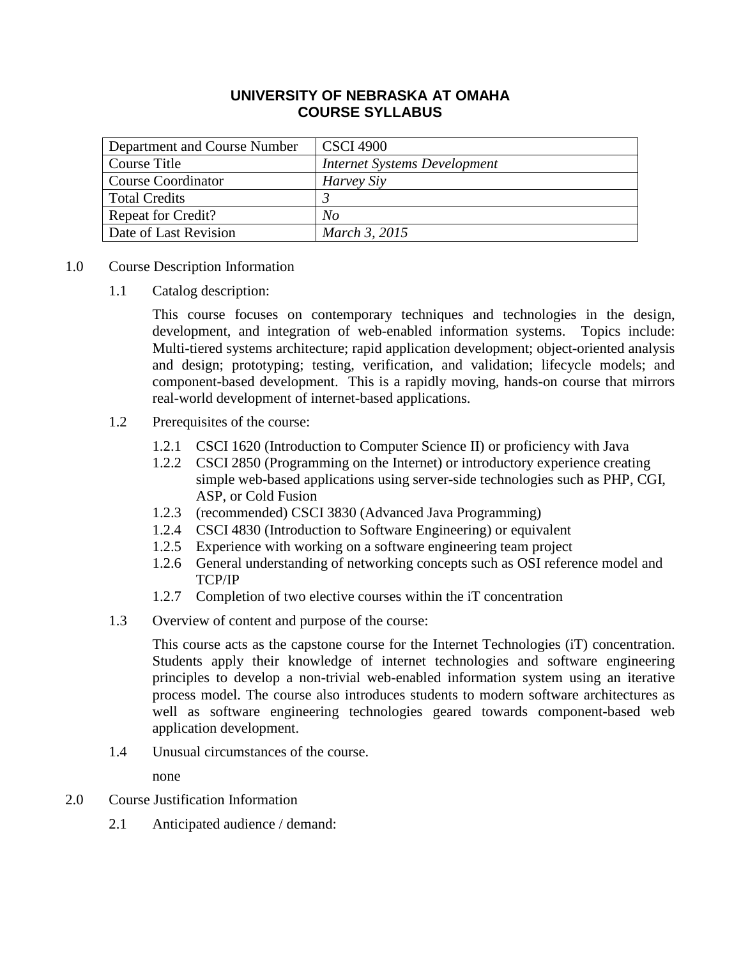# **UNIVERSITY OF NEBRASKA AT OMAHA COURSE SYLLABUS**

| Department and Course Number | <b>CSCI 4900</b>             |
|------------------------------|------------------------------|
| Course Title                 | Internet Systems Development |
| <b>Course Coordinator</b>    | Harvey Siy                   |
| <b>Total Credits</b>         |                              |
| <b>Repeat for Credit?</b>    | No                           |
| Date of Last Revision        | March 3, 2015                |

- 1.0 Course Description Information
	- 1.1 Catalog description:

This course focuses on contemporary techniques and technologies in the design, development, and integration of web-enabled information systems. Topics include: Multi-tiered systems architecture; rapid application development; object-oriented analysis and design; prototyping; testing, verification, and validation; lifecycle models; and component-based development. This is a rapidly moving, hands-on course that mirrors real-world development of internet-based applications.

- 1.2 Prerequisites of the course:
	- 1.2.1 CSCI 1620 (Introduction to Computer Science II) or proficiency with Java
	- 1.2.2 CSCI 2850 (Programming on the Internet) or introductory experience creating simple web-based applications using server-side technologies such as PHP, CGI, ASP, or Cold Fusion
	- 1.2.3 (recommended) CSCI 3830 (Advanced Java Programming)
	- 1.2.4 CSCI 4830 (Introduction to Software Engineering) or equivalent
	- 1.2.5 Experience with working on a software engineering team project
	- 1.2.6 General understanding of networking concepts such as OSI reference model and TCP/IP
	- 1.2.7 Completion of two elective courses within the iT concentration
- 1.3 Overview of content and purpose of the course:

This course acts as the capstone course for the Internet Technologies (iT) concentration. Students apply their knowledge of internet technologies and software engineering principles to develop a non-trivial web-enabled information system using an iterative process model. The course also introduces students to modern software architectures as well as software engineering technologies geared towards component-based web application development.

1.4 Unusual circumstances of the course.

none

- 2.0 Course Justification Information
	- 2.1 Anticipated audience / demand: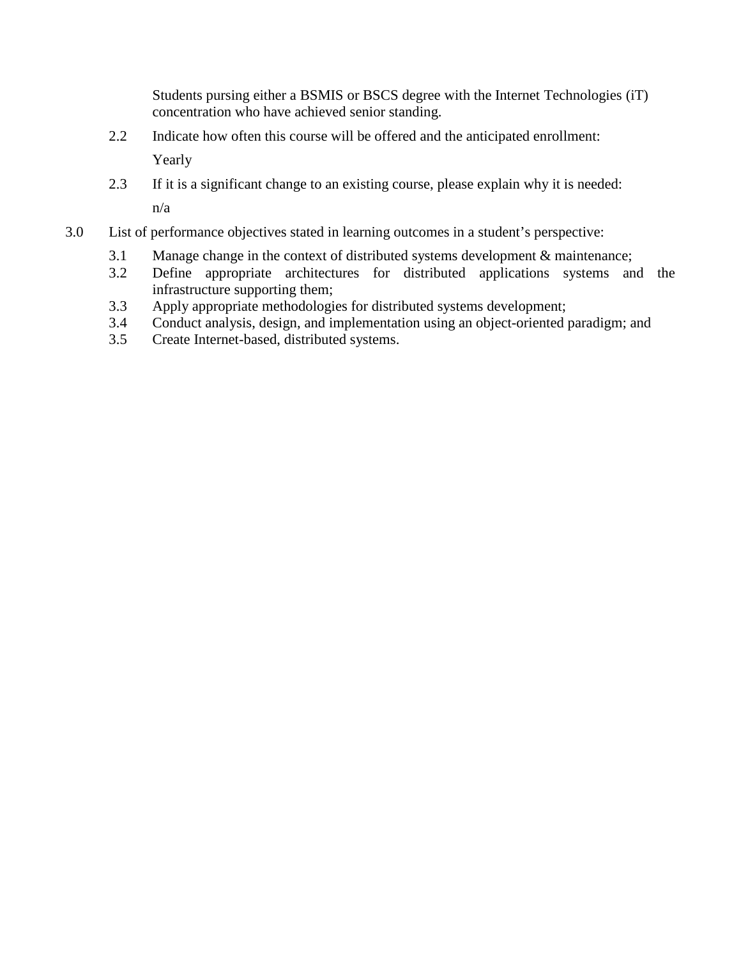Students pursing either a BSMIS or BSCS degree with the Internet Technologies (iT) concentration who have achieved senior standing.

- 2.2 Indicate how often this course will be offered and the anticipated enrollment: Yearly
- 2.3 If it is a significant change to an existing course, please explain why it is needed: n/a
- 3.0 List of performance objectives stated in learning outcomes in a student's perspective:
	- 3.1 Manage change in the context of distributed systems development & maintenance;
	- 3.2 Define appropriate architectures for distributed applications systems and the infrastructure supporting them;
	- 3.3 Apply appropriate methodologies for distributed systems development;
	- 3.4 Conduct analysis, design, and implementation using an object-oriented paradigm; and
	- 3.5 Create Internet-based, distributed systems.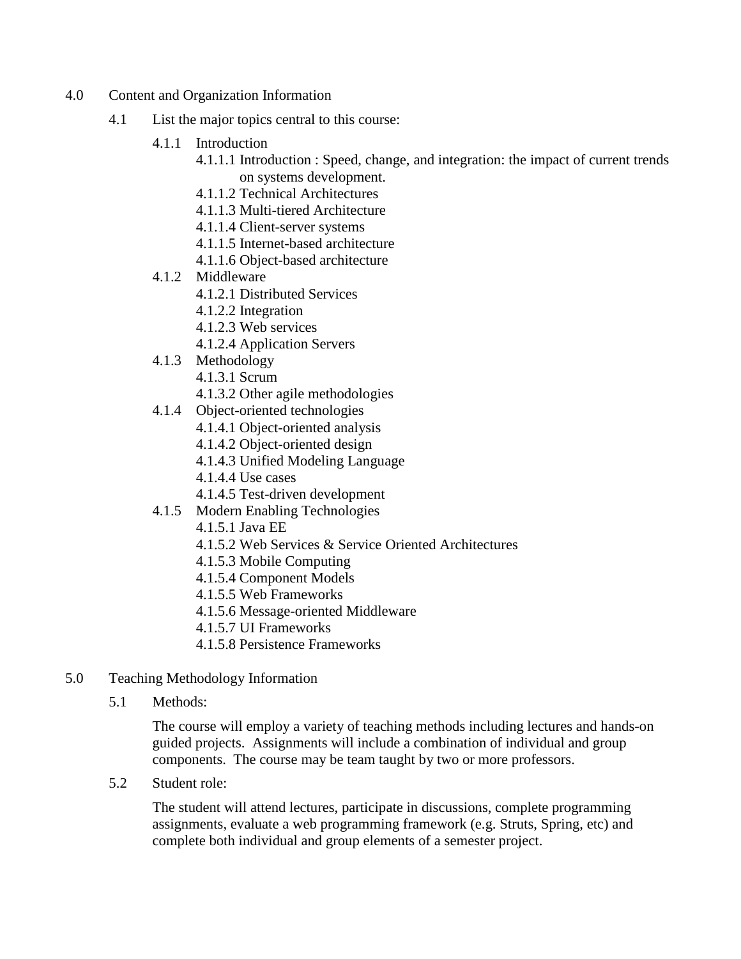- 4.0 Content and Organization Information
	- 4.1 List the major topics central to this course:
		- 4.1.1 Introduction
			- 4.1.1.1 Introduction : Speed, change, and integration: the impact of current trends on systems development.
			- 4.1.1.2 Technical Architectures
			- 4.1.1.3 Multi-tiered Architecture
			- 4.1.1.4 Client-server systems
			- 4.1.1.5 Internet-based architecture
			- 4.1.1.6 Object-based architecture
		- 4.1.2 Middleware
			- 4.1.2.1 Distributed Services
			- 4.1.2.2 Integration
			- 4.1.2.3 Web services
			- 4.1.2.4 Application Servers
		- 4.1.3 Methodology
			- 4.1.3.1 Scrum
			- 4.1.3.2 Other agile methodologies
		- 4.1.4 Object-oriented technologies
			- 4.1.4.1 Object-oriented analysis
			- 4.1.4.2 Object-oriented design
			- 4.1.4.3 Unified Modeling Language
			- 4.1.4.4 Use cases
			- 4.1.4.5 Test-driven development
		- 4.1.5 Modern Enabling Technologies
			- 4.1.5.1 Java EE
			- 4.1.5.2 Web Services & Service Oriented Architectures
			- 4.1.5.3 Mobile Computing
			- 4.1.5.4 Component Models
			- 4.1.5.5 Web Frameworks
			- 4.1.5.6 Message-oriented Middleware
			- 4.1.5.7 UI Frameworks
			- 4.1.5.8 Persistence Frameworks
- 5.0 Teaching Methodology Information
	- 5.1 Methods:

The course will employ a variety of teaching methods including lectures and hands-on guided projects. Assignments will include a combination of individual and group components. The course may be team taught by two or more professors.

5.2 Student role:

The student will attend lectures, participate in discussions, complete programming assignments, evaluate a web programming framework (e.g. Struts, Spring, etc) and complete both individual and group elements of a semester project.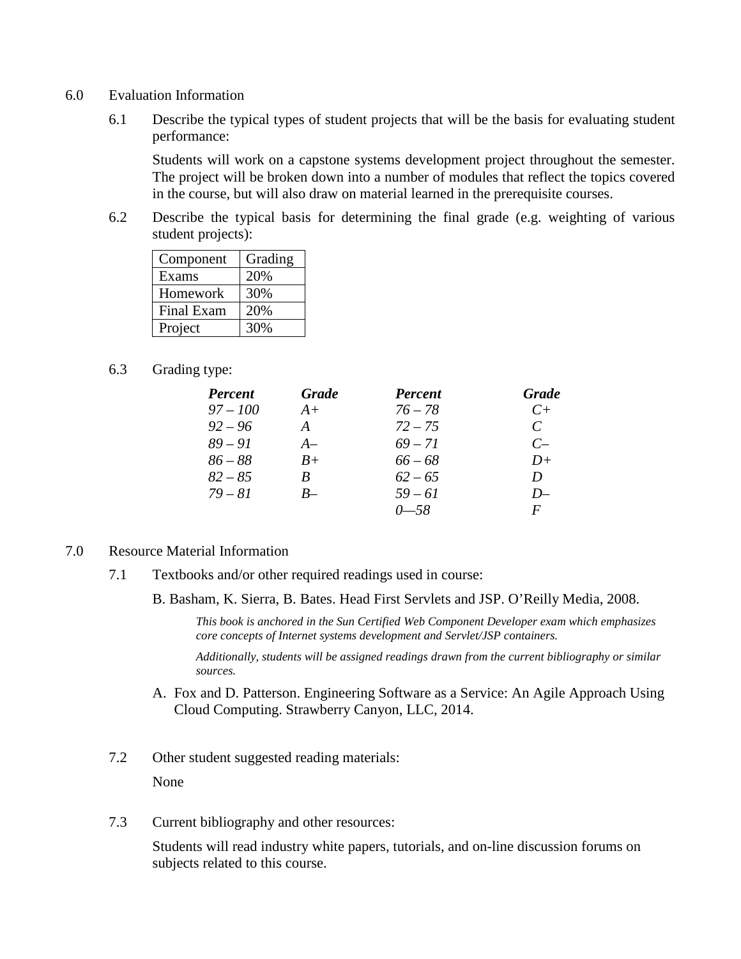- 6.0 Evaluation Information
	- 6.1 Describe the typical types of student projects that will be the basis for evaluating student performance:

Students will work on a capstone systems development project throughout the semester. The project will be broken down into a number of modules that reflect the topics covered in the course, but will also draw on material learned in the prerequisite courses.

6.2 Describe the typical basis for determining the final grade (e.g. weighting of various student projects):

| Component         | Grading |
|-------------------|---------|
| Exams             | 20%     |
| Homework          | 30%     |
| <b>Final Exam</b> | 20%     |
| Project           | 30%     |

6.3 Grading type:

| <b>Percent</b> | <b>Grade</b> | <b>Percent</b> | <b>Grade</b>  |
|----------------|--------------|----------------|---------------|
| $97 - 100$     | $A+$         | $76 - 78$      | $C+$          |
| $92 - 96$      | A            | $72 - 75$      | $\mathcal{C}$ |
| $89 - 91$      | $A-$         | $69 - 71$      | $C-$          |
| $86 - 88$      | $B+$         | $66 - 68$      | $D+$          |
| $82 - 85$      | B            | $62 - 65$      | D             |
| $79 - 81$      | $R_{-}$      | $59 - 61$      | $D-$          |
|                |              | $0 - 58$       | F             |

## 7.0 Resource Material Information

- 7.1 Textbooks and/or other required readings used in course:
	- B. Basham, K. Sierra, B. Bates. Head First Servlets and JSP. O'Reilly Media, 2008.

*This book is anchored in the Sun Certified Web Component Developer exam which emphasizes core concepts of Internet systems development and Servlet/JSP containers.*

*Additionally, students will be assigned readings drawn from the current bibliography or similar sources.*

- A. Fox and D. Patterson. Engineering Software as a Service: An Agile Approach Using Cloud Computing. Strawberry Canyon, LLC, 2014.
- 7.2 Other student suggested reading materials: None
- 7.3 Current bibliography and other resources:

Students will read industry white papers, tutorials, and on-line discussion forums on subjects related to this course.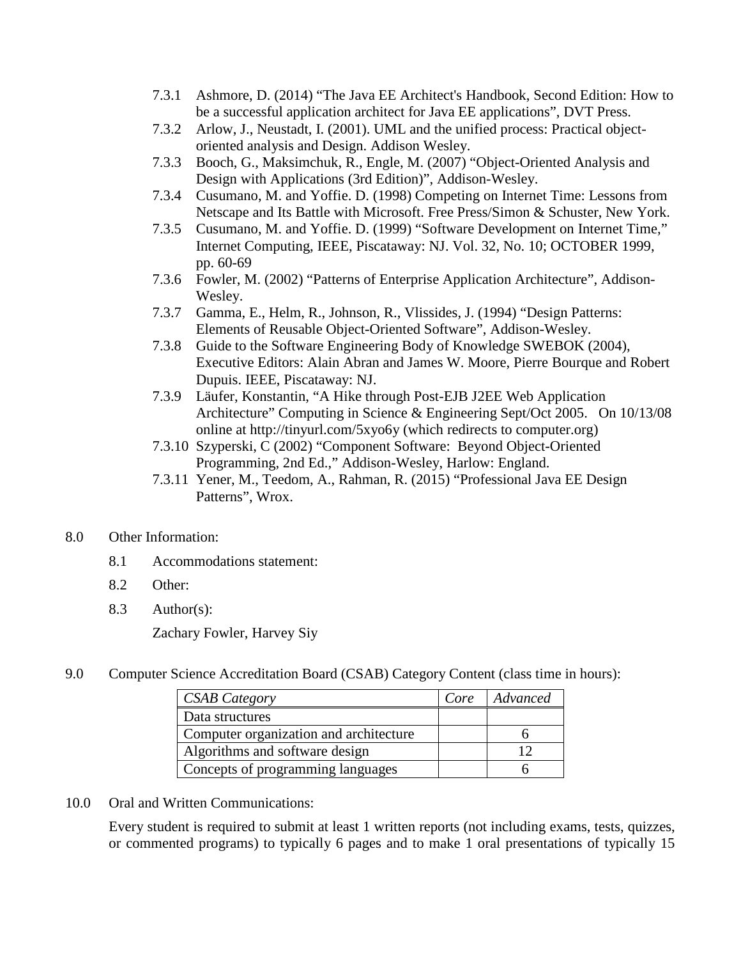- 7.3.1 Ashmore, D. (2014) "The Java EE Architect's Handbook, Second Edition: How to be a successful application architect for Java EE applications", DVT Press.
- 7.3.2 Arlow, J., Neustadt, I. (2001). UML and the unified process: Practical objectoriented analysis and Design. Addison Wesley.
- 7.3.3 Booch, G., Maksimchuk, R., Engle, M. (2007) "Object-Oriented Analysis and Design with Applications (3rd Edition)", Addison-Wesley.
- 7.3.4 Cusumano, M. and Yoffie. D. (1998) Competing on Internet Time: Lessons from Netscape and Its Battle with Microsoft. Free Press/Simon & Schuster, New York.
- 7.3.5 Cusumano, M. and Yoffie. D. (1999) "Software Development on Internet Time," Internet Computing, IEEE, Piscataway: NJ. Vol. 32, No. 10; OCTOBER 1999, pp. 60-69
- 7.3.6 Fowler, M. (2002) "Patterns of Enterprise Application Architecture", Addison-Wesley.
- 7.3.7 Gamma, E., Helm, R., Johnson, R., Vlissides, J. (1994) "Design Patterns: Elements of Reusable Object-Oriented Software", Addison-Wesley.
- 7.3.8 Guide to the Software Engineering Body of Knowledge SWEBOK (2004), Executive Editors: Alain Abran and James W. Moore, Pierre Bourque and Robert Dupuis. IEEE, Piscataway: NJ.
- 7.3.9 Läufer, Konstantin, "A Hike through Post-EJB J2EE Web Application Architecture" Computing in Science & Engineering Sept/Oct 2005. On 10/13/08 online at http://tinyurl.com/5xyo6y (which redirects to computer.org)
- 7.3.10 Szyperski, C (2002) "Component Software: Beyond Object-Oriented Programming, 2nd Ed.," Addison-Wesley, Harlow: England.
- 7.3.11 Yener, M., Teedom, A., Rahman, R. (2015) "Professional Java EE Design Patterns", Wrox.

## 8.0 Other Information:

- 8.1 Accommodations statement:
- 8.2 Other:
- 8.3 Author(s):

Zachary Fowler, Harvey Siy

9.0 Computer Science Accreditation Board (CSAB) Category Content (class time in hours):

| <b>CSAB Category</b>                   | Core | Advanced |
|----------------------------------------|------|----------|
| Data structures                        |      |          |
| Computer organization and architecture |      |          |
| Algorithms and software design         |      |          |
| Concepts of programming languages      |      |          |

10.0 Oral and Written Communications:

Every student is required to submit at least 1 written reports (not including exams, tests, quizzes, or commented programs) to typically 6 pages and to make 1 oral presentations of typically 15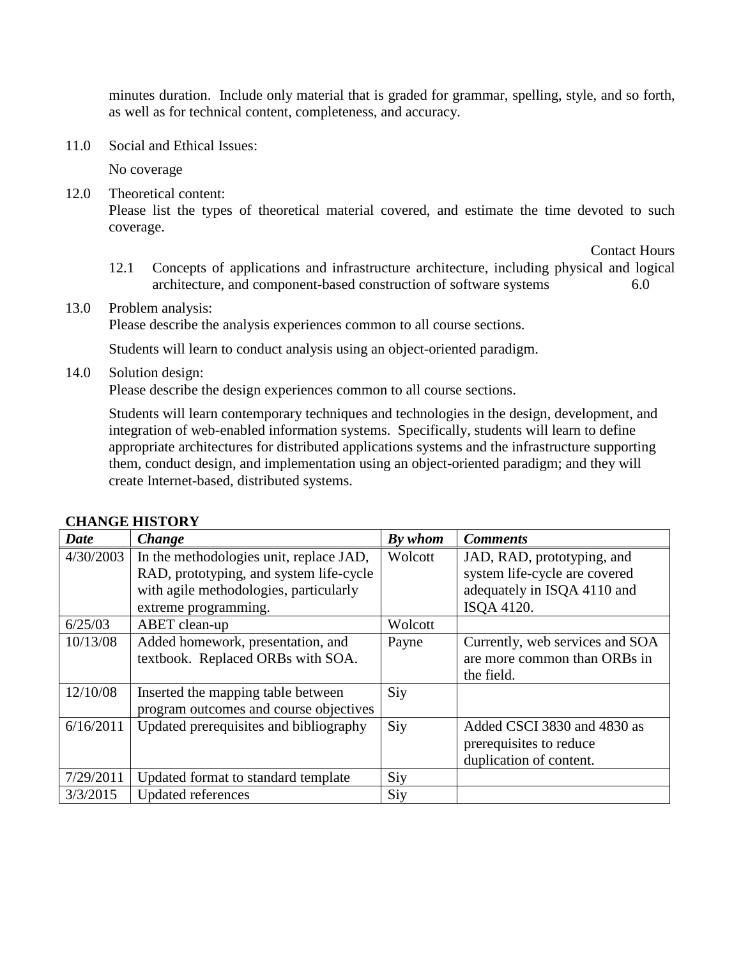minutes duration. Include only material that is graded for grammar, spelling, style, and so forth, as well as for technical content, completeness, and accuracy.

11.0 Social and Ethical Issues:

No coverage

12.0 Theoretical content: Please list the types of theoretical material covered, and estimate the time devoted to such coverage.

Contact Hours

12.1 Concepts of applications and infrastructure architecture, including physical and logical architecture, and component-based construction of software systems 6.0

## 13.0 Problem analysis:

Please describe the analysis experiences common to all course sections.

Students will learn to conduct analysis using an object-oriented paradigm.

#### 14.0 Solution design:

Please describe the design experiences common to all course sections.

Students will learn contemporary techniques and technologies in the design, development, and integration of web-enabled information systems. Specifically, students will learn to define appropriate architectures for distributed applications systems and the infrastructure supporting them, conduct design, and implementation using an object-oriented paradigm; and they will create Internet-based, distributed systems.

| <b>Date</b> | Change                                  | By whom | <b>Comments</b>                 |
|-------------|-----------------------------------------|---------|---------------------------------|
| 4/30/2003   | In the methodologies unit, replace JAD, | Wolcott | JAD, RAD, prototyping, and      |
|             | RAD, prototyping, and system life-cycle |         | system life-cycle are covered   |
|             | with agile methodologies, particularly  |         | adequately in ISQA 4110 and     |
|             | extreme programming.                    |         | ISOA 4120.                      |
| 6/25/03     | ABET clean-up                           | Wolcott |                                 |
| 10/13/08    | Added homework, presentation, and       | Payne   | Currently, web services and SOA |
|             | textbook. Replaced ORBs with SOA.       |         | are more common than ORBs in    |
|             |                                         |         | the field.                      |
| 12/10/08    | Inserted the mapping table between      | Siy     |                                 |
|             | program outcomes and course objectives  |         |                                 |
| 6/16/2011   | Updated prerequisites and bibliography  | Siy     | Added CSCI 3830 and 4830 as     |
|             |                                         |         | prerequisites to reduce         |
|             |                                         |         | duplication of content.         |
| 7/29/2011   | Updated format to standard template     | Siy     |                                 |
| 3/3/2015    | <b>Updated references</b>               | Siy     |                                 |

## **CHANGE HISTORY**